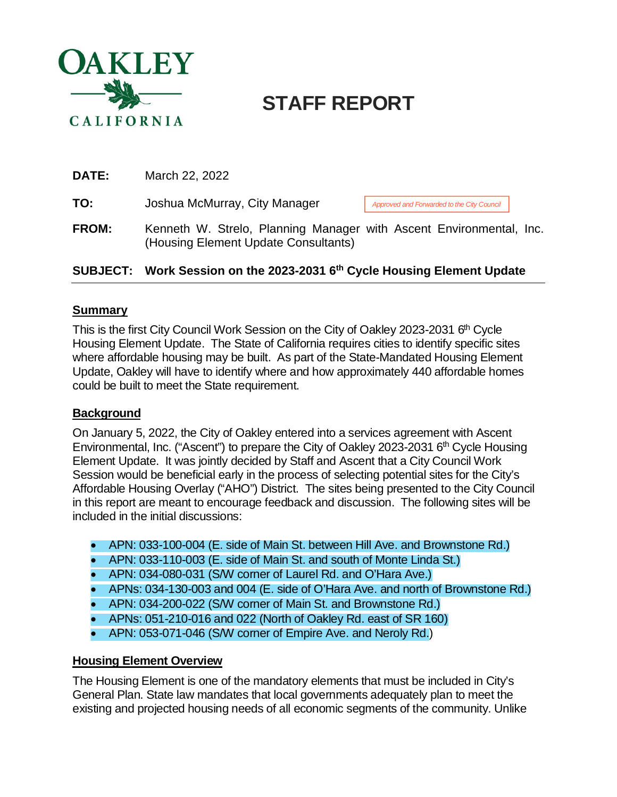

# **STAFF REPORT**

| <b>DATE:</b> | March 22, 2022                                                                                              |                                            |  |  |
|--------------|-------------------------------------------------------------------------------------------------------------|--------------------------------------------|--|--|
| TO:          | Joshua McMurray, City Manager                                                                               | Approved and Forwarded to the City Council |  |  |
| <b>FROM:</b> | Kenneth W. Strelo, Planning Manager with Ascent Environmental, Inc.<br>(Housing Element Update Consultants) |                                            |  |  |

## **SUBJECT: Work Session on the 2023-2031 6th Cycle Housing Element Update**

#### **Summary**

This is the first City Council Work Session on the City of Oakley 2023-2031 6<sup>th</sup> Cycle Housing Element Update. The State of California requires cities to identify specific sites where affordable housing may be built. As part of the State-Mandated Housing Element Update, Oakley will have to identify where and how approximately 440 affordable homes could be built to meet the State requirement.

#### **Background**

On January 5, 2022, the City of Oakley entered into a services agreement with Ascent Environmental, Inc. ("Ascent") to prepare the City of Oakley 2023-2031 6<sup>th</sup> Cycle Housing Element Update. It was jointly decided by Staff and Ascent that a City Council Work Session would be beneficial early in the process of selecting potential sites for the City's Affordable Housing Overlay ("AHO") District. The sites being presented to the City Council in this report are meant to encourage feedback and discussion. The following sites will be included in the initial discussions:

- APN: 033-100-004 (E. side of Main St. between Hill Ave. and Brownstone Rd.)
- APN: 033-110-003 (E. side of Main St. and south of Monte Linda St.)
- APN: 034-080-031 (S/W corner of Laurel Rd. and O'Hara Ave.)
- APNs: 034-130-003 and 004 (E. side of O'Hara Ave. and north of Brownstone Rd.)
- APN: 034-200-022 (S/W corner of Main St. and Brownstone Rd.)
- APNs: 051-210-016 and 022 (North of Oakley Rd. east of SR 160)
- APN: 053-071-046 (S/W corner of Empire Ave. and Neroly Rd.)

#### **Housing Element Overview**

The Housing Element is one of the mandatory elements that must be included in City's General Plan. State law mandates that local governments adequately plan to meet the existing and projected housing needs of all economic segments of the community. Unlike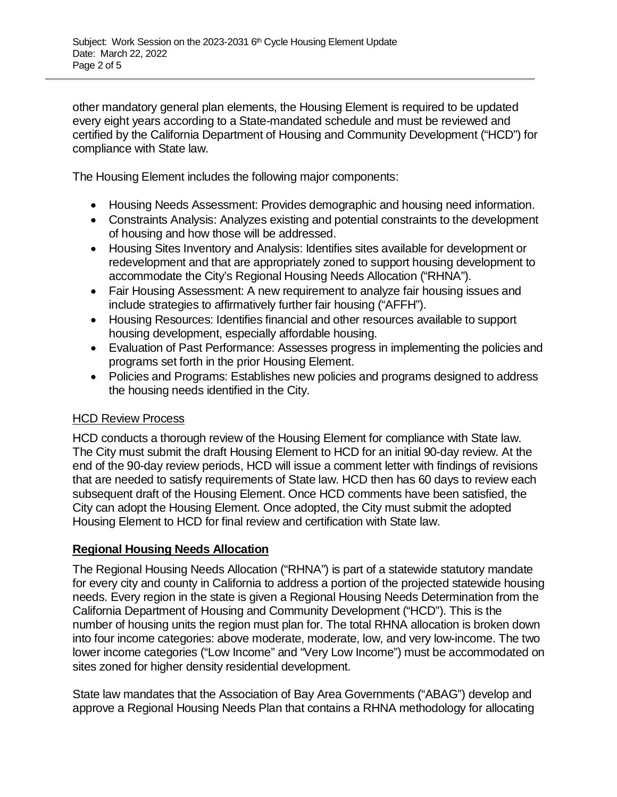other mandatory general plan elements, the Housing Element is required to be updated every eight years according to a State-mandated schedule and must be reviewed and certified by the California Department of Housing and Community Development ("HCD") for compliance with State law.

The Housing Element includes the following major components:

- Housing Needs Assessment: Provides demographic and housing need information.
- Constraints Analysis: Analyzes existing and potential constraints to the development of housing and how those will be addressed.
- Housing Sites Inventory and Analysis: Identifies sites available for development or redevelopment and that are appropriately zoned to support housing development to accommodate the City's Regional Housing Needs Allocation ("RHNA").
- Fair Housing Assessment: A new requirement to analyze fair housing issues and include strategies to affirmatively further fair housing ("AFFH").
- Housing Resources: Identifies financial and other resources available to support housing development, especially affordable housing.
- Evaluation of Past Performance: Assesses progress in implementing the policies and programs set forth in the prior Housing Element.
- Policies and Programs: Establishes new policies and programs designed to address the housing needs identified in the City.

## **HCD Review Process**

HCD conducts a thorough review of the Housing Element for compliance with State law. The City must submit the draft Housing Element to HCD for an initial 90-day review. At the end of the 90-day review periods, HCD will issue a comment letter with findings of revisions that are needed to satisfy requirements of State law. HCD then has 60 days to review each subsequent draft of the Housing Element. Once HCD comments have been satisfied, the City can adopt the Housing Element. Once adopted, the City must submit the adopted Housing Element to HCD for final review and certification with State law.

## **Regional Housing Needs Allocation**

The Regional Housing Needs Allocation ("RHNA") is part of a statewide statutory mandate for every city and county in California to address a portion of the projected statewide housing needs. Every region in the state is given a Regional Housing Needs Determination from the California Department of Housing and Community Development ("HCD"). This is the number of housing units the region must plan for. The total RHNA allocation is broken down into four income categories: above moderate, moderate, low, and very low-income. The two lower income categories ("Low Income" and "Very Low Income") must be accommodated on sites zoned for higher density residential development.

State law mandates that the Association of Bay Area Governments ("ABAG") develop and approve a Regional Housing Needs Plan that contains a RHNA methodology for allocating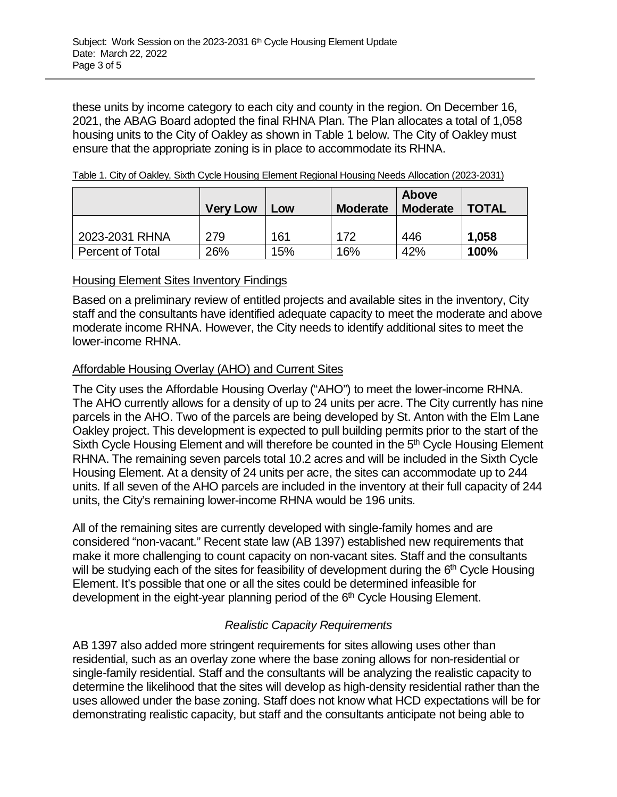these units by income category to each city and county in the region. On December 16, 2021, the ABAG Board adopted the final RHNA Plan. The Plan allocates a total of 1,058 housing units to the City of Oakley as shown in Table 1 below. The City of Oakley must ensure that the appropriate zoning is in place to accommodate its RHNA.

|                  | <b>Very Low</b> | Low | <b>Moderate</b> | <b>Above</b><br><b>Moderate</b> | <b>TOTAL</b> |
|------------------|-----------------|-----|-----------------|---------------------------------|--------------|
| 2023-2031 RHNA   | 279             | 161 | 172             | 446                             | 1,058        |
| Percent of Total | 26%             | 15% | 16%             | 42%                             | 100%         |

#### **Housing Element Sites Inventory Findings**

Based on a preliminary review of entitled projects and available sites in the inventory, City staff and the consultants have identified adequate capacity to meet the moderate and above moderate income RHNA. However, the City needs to identify additional sites to meet the lower-income RHNA.

#### Affordable Housing Overlay (AHO) and Current Sites

The City uses the Affordable Housing Overlay ("AHO") to meet the lower-income RHNA. The AHO currently allows for a density of up to 24 units per acre. The City currently has nine parcels in the AHO. Two of the parcels are being developed by St. Anton with the Elm Lane Oakley project. This development is expected to pull building permits prior to the start of the Sixth Cycle Housing Element and will therefore be counted in the 5<sup>th</sup> Cycle Housing Element RHNA. The remaining seven parcels total 10.2 acres and will be included in the Sixth Cycle Housing Element. At a density of 24 units per acre, the sites can accommodate up to 244 units. If all seven of the AHO parcels are included in the inventory at their full capacity of 244 units, the City's remaining lower-income RHNA would be 196 units.

All of the remaining sites are currently developed with single-family homes and are considered "non-vacant." Recent state law (AB 1397) established new requirements that make it more challenging to count capacity on non-vacant sites. Staff and the consultants will be studying each of the sites for feasibility of development during the  $6<sup>th</sup>$  Cycle Housing Element. It's possible that one or all the sites could be determined infeasible for development in the eight-year planning period of the 6<sup>th</sup> Cycle Housing Element.

## *Realistic Capacity Requirements*

AB 1397 also added more stringent requirements for sites allowing uses other than residential, such as an overlay zone where the base zoning allows for non-residential or single-family residential. Staff and the consultants will be analyzing the realistic capacity to determine the likelihood that the sites will develop as high-density residential rather than the uses allowed under the base zoning. Staff does not know what HCD expectations will be for demonstrating realistic capacity, but staff and the consultants anticipate not being able to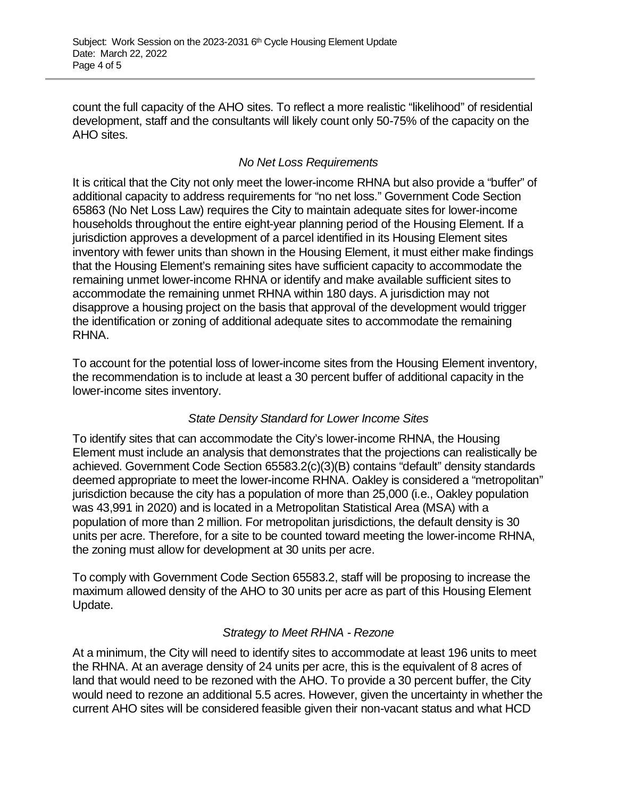count the full capacity of the AHO sites. To reflect a more realistic "likelihood" of residential development, staff and the consultants will likely count only 50-75% of the capacity on the AHO sites.

## *No Net Loss Requirements*

It is critical that the City not only meet the lower-income RHNA but also provide a "buffer" of additional capacity to address requirements for "no net loss." Government Code Section 65863 (No Net Loss Law) requires the City to maintain adequate sites for lower-income households throughout the entire eight-year planning period of the Housing Element. If a jurisdiction approves a development of a parcel identified in its Housing Element sites inventory with fewer units than shown in the Housing Element, it must either make findings that the Housing Element's remaining sites have sufficient capacity to accommodate the remaining unmet lower-income RHNA or identify and make available sufficient sites to accommodate the remaining unmet RHNA within 180 days. A jurisdiction may not disapprove a housing project on the basis that approval of the development would trigger the identification or zoning of additional adequate sites to accommodate the remaining RHNA.

To account for the potential loss of lower-income sites from the Housing Element inventory, the recommendation is to include at least a 30 percent buffer of additional capacity in the lower-income sites inventory.

## *State Density Standard for Lower Income Sites*

To identify sites that can accommodate the City's lower-income RHNA, the Housing Element must include an analysis that demonstrates that the projections can realistically be achieved. Government Code Section 65583.2(c)(3)(B) contains "default" density standards deemed appropriate to meet the lower-income RHNA. Oakley is considered a "metropolitan" jurisdiction because the city has a population of more than 25,000 (i.e., Oakley population was 43,991 in 2020) and is located in a Metropolitan Statistical Area (MSA) with a population of more than 2 million. For metropolitan jurisdictions, the default density is 30 units per acre. Therefore, for a site to be counted toward meeting the lower-income RHNA, the zoning must allow for development at 30 units per acre.

To comply with Government Code Section 65583.2, staff will be proposing to increase the maximum allowed density of the AHO to 30 units per acre as part of this Housing Element Update.

## *Strategy to Meet RHNA - Rezone*

At a minimum, the City will need to identify sites to accommodate at least 196 units to meet the RHNA. At an average density of 24 units per acre, this is the equivalent of 8 acres of land that would need to be rezoned with the AHO. To provide a 30 percent buffer, the City would need to rezone an additional 5.5 acres. However, given the uncertainty in whether the current AHO sites will be considered feasible given their non-vacant status and what HCD